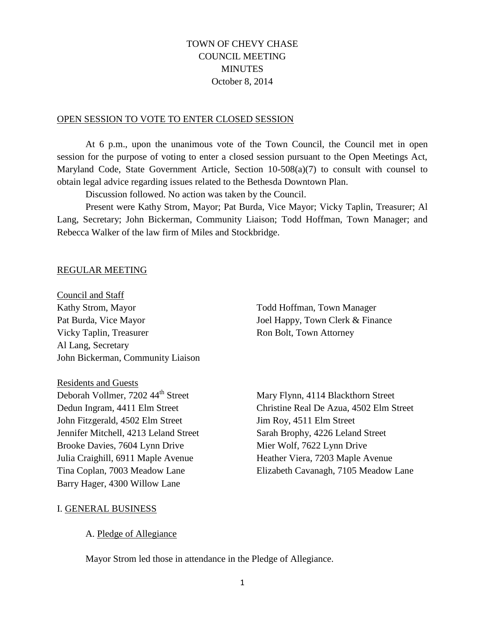# TOWN OF CHEVY CHASE COUNCIL MEETING **MINUTES** October 8, 2014

#### OPEN SESSION TO VOTE TO ENTER CLOSED SESSION

At 6 p.m., upon the unanimous vote of the Town Council, the Council met in open session for the purpose of voting to enter a closed session pursuant to the Open Meetings Act, Maryland Code, State Government Article, Section 10-508(a)(7) to consult with counsel to obtain legal advice regarding issues related to the Bethesda Downtown Plan.

Discussion followed. No action was taken by the Council.

Present were Kathy Strom, Mayor; Pat Burda, Vice Mayor; Vicky Taplin, Treasurer; Al Lang, Secretary; John Bickerman, Community Liaison; Todd Hoffman, Town Manager; and Rebecca Walker of the law firm of Miles and Stockbridge.

#### REGULAR MEETING

Council and Staff Kathy Strom, Mayor Todd Hoffman, Town Manager Pat Burda, Vice Mayor Joel Happy, Town Clerk & Finance Vicky Taplin, Treasurer **Ron Bolt**, Town Attorney Al Lang, Secretary John Bickerman, Community Liaison

Residents and Guests

Deborah Vollmer, 7202 44<sup>th</sup> Street Mary Flynn, 4114 Blackthorn Street John Fitzgerald, 4502 Elm Street Jim Roy, 4511 Elm Street Jennifer Mitchell, 4213 Leland Street Sarah Brophy, 4226 Leland Street Brooke Davies, 7604 Lynn Drive Mier Wolf, 7622 Lynn Drive Julia Craighill, 6911 Maple Avenue Heather Viera, 7203 Maple Avenue Barry Hager, 4300 Willow Lane

Dedun Ingram, 4411 Elm Street Christine Real De Azua, 4502 Elm Street Tina Coplan, 7003 Meadow Lane Elizabeth Cavanagh, 7105 Meadow Lane

#### I. GENERAL BUSINESS

#### A. Pledge of Allegiance

Mayor Strom led those in attendance in the Pledge of Allegiance.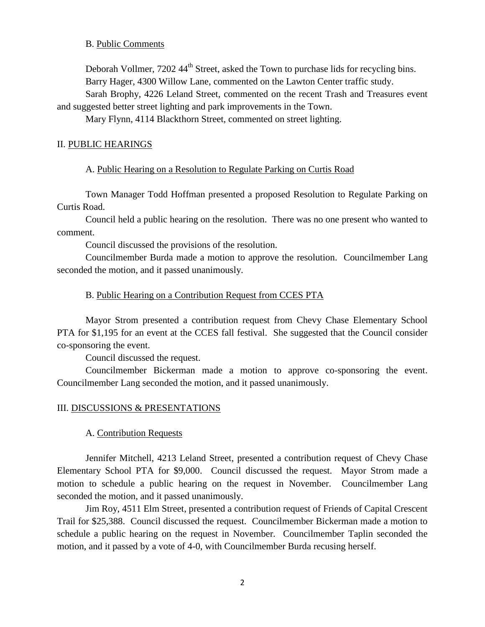#### B. Public Comments

Deborah Vollmer,  $7202.44^{\text{th}}$  Street, asked the Town to purchase lids for recycling bins. Barry Hager, 4300 Willow Lane, commented on the Lawton Center traffic study.

Sarah Brophy, 4226 Leland Street, commented on the recent Trash and Treasures event and suggested better street lighting and park improvements in the Town.

Mary Flynn, 4114 Blackthorn Street, commented on street lighting.

### II. PUBLIC HEARINGS

### A. Public Hearing on a Resolution to Regulate Parking on Curtis Road

Town Manager Todd Hoffman presented a proposed Resolution to Regulate Parking on Curtis Road.

Council held a public hearing on the resolution. There was no one present who wanted to comment.

Council discussed the provisions of the resolution.

Councilmember Burda made a motion to approve the resolution. Councilmember Lang seconded the motion, and it passed unanimously.

### B. Public Hearing on a Contribution Request from CCES PTA

Mayor Strom presented a contribution request from Chevy Chase Elementary School PTA for \$1,195 for an event at the CCES fall festival. She suggested that the Council consider co-sponsoring the event.

Council discussed the request.

Councilmember Bickerman made a motion to approve co-sponsoring the event. Councilmember Lang seconded the motion, and it passed unanimously.

#### III. DISCUSSIONS & PRESENTATIONS

#### A. Contribution Requests

Jennifer Mitchell, 4213 Leland Street, presented a contribution request of Chevy Chase Elementary School PTA for \$9,000. Council discussed the request. Mayor Strom made a motion to schedule a public hearing on the request in November. Councilmember Lang seconded the motion, and it passed unanimously.

Jim Roy, 4511 Elm Street, presented a contribution request of Friends of Capital Crescent Trail for \$25,388. Council discussed the request. Councilmember Bickerman made a motion to schedule a public hearing on the request in November. Councilmember Taplin seconded the motion, and it passed by a vote of 4-0, with Councilmember Burda recusing herself.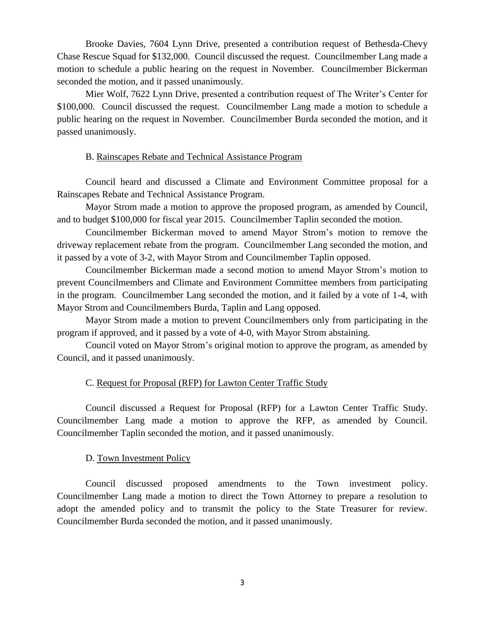Brooke Davies, 7604 Lynn Drive, presented a contribution request of Bethesda-Chevy Chase Rescue Squad for \$132,000. Council discussed the request. Councilmember Lang made a motion to schedule a public hearing on the request in November. Councilmember Bickerman seconded the motion, and it passed unanimously.

Mier Wolf, 7622 Lynn Drive, presented a contribution request of The Writer's Center for \$100,000. Council discussed the request. Councilmember Lang made a motion to schedule a public hearing on the request in November. Councilmember Burda seconded the motion, and it passed unanimously.

### B. Rainscapes Rebate and Technical Assistance Program

Council heard and discussed a Climate and Environment Committee proposal for a Rainscapes Rebate and Technical Assistance Program.

Mayor Strom made a motion to approve the proposed program, as amended by Council, and to budget \$100,000 for fiscal year 2015. Councilmember Taplin seconded the motion.

Councilmember Bickerman moved to amend Mayor Strom's motion to remove the driveway replacement rebate from the program. Councilmember Lang seconded the motion, and it passed by a vote of 3-2, with Mayor Strom and Councilmember Taplin opposed.

Councilmember Bickerman made a second motion to amend Mayor Strom's motion to prevent Councilmembers and Climate and Environment Committee members from participating in the program. Councilmember Lang seconded the motion, and it failed by a vote of 1-4, with Mayor Strom and Councilmembers Burda, Taplin and Lang opposed.

Mayor Strom made a motion to prevent Councilmembers only from participating in the program if approved, and it passed by a vote of 4-0, with Mayor Strom abstaining.

Council voted on Mayor Strom's original motion to approve the program, as amended by Council, and it passed unanimously.

### C. Request for Proposal (RFP) for Lawton Center Traffic Study

Council discussed a Request for Proposal (RFP) for a Lawton Center Traffic Study. Councilmember Lang made a motion to approve the RFP, as amended by Council. Councilmember Taplin seconded the motion, and it passed unanimously.

### D. Town Investment Policy

Council discussed proposed amendments to the Town investment policy. Councilmember Lang made a motion to direct the Town Attorney to prepare a resolution to adopt the amended policy and to transmit the policy to the State Treasurer for review. Councilmember Burda seconded the motion, and it passed unanimously.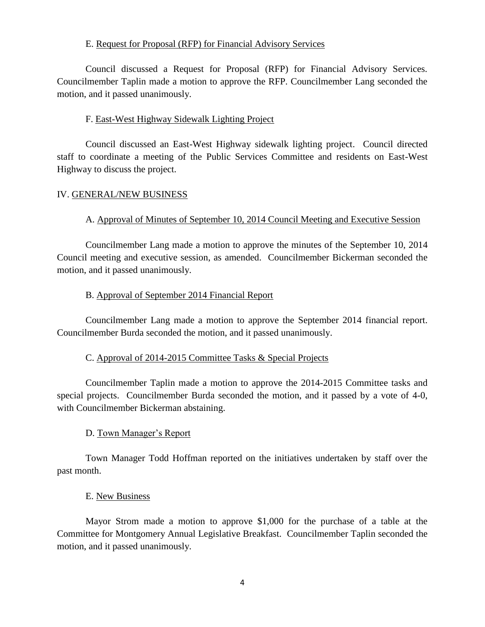## E. Request for Proposal (RFP) for Financial Advisory Services

Council discussed a Request for Proposal (RFP) for Financial Advisory Services. Councilmember Taplin made a motion to approve the RFP. Councilmember Lang seconded the motion, and it passed unanimously.

## F. East-West Highway Sidewalk Lighting Project

Council discussed an East-West Highway sidewalk lighting project. Council directed staff to coordinate a meeting of the Public Services Committee and residents on East-West Highway to discuss the project.

## IV. GENERAL/NEW BUSINESS

## A. Approval of Minutes of September 10, 2014 Council Meeting and Executive Session

Councilmember Lang made a motion to approve the minutes of the September 10, 2014 Council meeting and executive session, as amended. Councilmember Bickerman seconded the motion, and it passed unanimously.

## B. Approval of September 2014 Financial Report

Councilmember Lang made a motion to approve the September 2014 financial report. Councilmember Burda seconded the motion, and it passed unanimously.

## C. Approval of 2014-2015 Committee Tasks & Special Projects

Councilmember Taplin made a motion to approve the 2014-2015 Committee tasks and special projects. Councilmember Burda seconded the motion, and it passed by a vote of 4-0, with Councilmember Bickerman abstaining.

## D. Town Manager's Report

Town Manager Todd Hoffman reported on the initiatives undertaken by staff over the past month.

### E. New Business

Mayor Strom made a motion to approve \$1,000 for the purchase of a table at the Committee for Montgomery Annual Legislative Breakfast. Councilmember Taplin seconded the motion, and it passed unanimously.